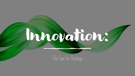

The Case for Strategy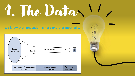# 1. The Data

We know that innovation is hard and that most fails.



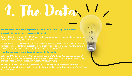# 1. The Data

We also know that there are systematic differences in the activity that underlies...

successful innovation and unsuccessful innovation;

Cohen, MW & Levinthal, DA. 1990. Absorptive capacity: A new perspective on learning and innovation. ASQ, 35:128-152;

Calantone, R.J., Di Benedetto, C.A. and Divine, R. (1993), Organisational, technical and marketing antecedents for successful new product development. R&D Management, 23: 337-351. <https://doi.org/10.1111/j.1467-9310.1993.tb00839.x>

…and breakthrough innovation and incremental innovation.

Schilling, MA. 2018. Quirky: The remarkable story of the traits, foibles, and genius of breakthrough innovators who changed the world. New York: Public Affairs. Video of key themes: https://www.youtube.com/watch?v=qzqJSsCPSTk;

Kneeland, M, Schilling, MA & Aharonson, B. 2020. Exploring uncharted territory: Knowledge search processes in the origination of outlier innovation. Organization Science, 31(3):535-55

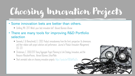## Choosing Innovation Projects

#### • Some innovation bets are better than others.

- Schilling, MA. 2017. What's your best innovation bet? Harvard Business Review.
- There are many tools for improving R&D Portfolio selection
	- Danneels, E & Kleinschmidt, EJ. 2003. Product innovativeness from the firm's perspective: Its dimensions and their relation with project selection and performance. Journal of Product Innovation Management, 357-373
	- Christensen, C. 2000/2017. Using Aggregate Project Planning to Link Strategy, Innovation, and the Resource AllocationProcess. Harvard Business Schoo/Note.
	- Short animated video on choosing innovation projects: https://youtu.be/0QOdd45aZ1o

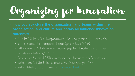## Organizing for Innovation

- How you structure the organization, and teams within the organization, and culture and norms all influence innovation
	- Fang, C, Lee, & Schilling. M. 2010. Balancing exploration and exploitation through structural design: advantage of the
	- semi-isolated subgroup structure in organizational learning, Organization Science, 21:625-642
	- Diehl, M & Stroebe, W. 1987. Productivity loss in brainstorming groups: Toward the solution of a riddle, *Journal of*
	- Personality and Social Psychology, 53: 497–509
	- Stroebe, W, Nijstad, B & Rietzschel, E. 2010. Beyond productivity loss in brainstorming groups: The evolution of a
	- question. In Zanna, MP & Olson JM (Eds). Advances in Experimental Social Psychology, 43: 157–203.
	- Short animated video on organizing for innovation: https://youtu.be/0sPwbcqNwEI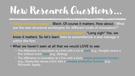### New Research Questions…

- "Does structure matter?" Blech. Of course it matters. How about, "What are the new structural archetypes for different kinds of innovators?"
- "Does exploration versus exploitation matter?" \*Long sigh\* Yes, we know it matters. So let's learn how to parameterize it and manage it within the firm.

#### • What we haven't seen at all that we would LOVE to see:

- The difference in innovation at a firm with a lot of slack (e.g., Google) versus a firm without much slack (e.g., Boeing)
- The difference in innovation at a firm with a fairly simple production function (e.g., Starbucks) versus a firm with a complex production function (e.g., Microsoft, Apple)